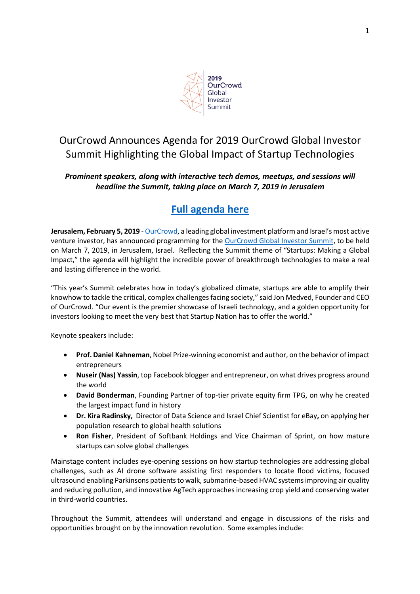

# OurCrowd Announces Agenda for 2019 OurCrowd Global Investor Summit Highlighting the Global Impact of Startup Technologies

### *Prominent speakers, along with interactive tech demos, meetups, and sessions will headline the Summit, taking place on March 7, 2019 in Jerusalem*

## **Full agenda here**

**Jerusalem, February 5, 2019** - OurCrowd, a leading global investment platform and Israel's most active venture investor, has announced programming for the OurCrowd Global Investor Summit, to be held on March 7, 2019, in Jerusalem, Israel. Reflecting the Summit theme of "Startups: Making a Global Impact," the agenda will highlight the incredible power of breakthrough technologies to make a real and lasting difference in the world.

"This year's Summit celebrates how in today's globalized climate, startups are able to amplify their knowhow to tackle the critical, complex challenges facing society," said Jon Medved, Founder and CEO of OurCrowd. "Our event is the premier showcase of Israeli technology, and a golden opportunity for investors looking to meet the very best that Startup Nation has to offer the world."

Keynote speakers include:

- **Prof. Daniel Kahneman**, Nobel Prize-winning economist and author, on the behavior of impact entrepreneurs
- **Nuseir (Nas) Yassin**, top Facebook blogger and entrepreneur, on what drives progress around the world
- **David Bonderman**, Founding Partner of top-tier private equity firm TPG, on why he created the largest impact fund in history
- **Dr. Kira Radinsky,** Director of Data Science and Israel Chief Scientist for eBay**,** on applying her population research to global health solutions
- **Ron Fisher**, President of Softbank Holdings and Vice Chairman of Sprint, on how mature startups can solve global challenges

Mainstage content includes eye-opening sessions on how startup technologies are addressing global challenges, such as AI drone software assisting first responders to locate flood victims, focused ultrasound enabling Parkinsons patients to walk, submarine-based HVAC systems improving air quality and reducing pollution, and innovative AgTech approaches increasing crop yield and conserving water in third-world countries.

Throughout the Summit, attendees will understand and engage in discussions of the risks and opportunities brought on by the innovation revolution. Some examples include: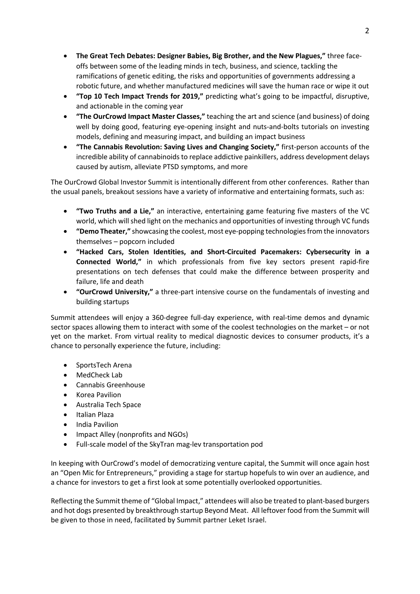- **The Great Tech Debates: Designer Babies, Big Brother, and the New Plagues,"** three faceoffs between some of the leading minds in tech, business, and science, tackling the ramifications of genetic editing, the risks and opportunities of governments addressing a robotic future, and whether manufactured medicines will save the human race or wipe it out
- **"Top 10 Tech Impact Trends for 2019,"** predicting what's going to be impactful, disruptive, and actionable in the coming year
- **"The OurCrowd Impact Master Classes,"** teaching the art and science (and business) of doing well by doing good, featuring eye-opening insight and nuts-and-bolts tutorials on investing models, defining and measuring impact, and building an impact business
- **"The Cannabis Revolution: Saving Lives and Changing Society,"** first-person accounts of the incredible ability of cannabinoids to replace addictive painkillers, address development delays caused by autism, alleviate PTSD symptoms, and more

The OurCrowd Global Investor Summit is intentionally different from other conferences. Rather than the usual panels, breakout sessions have a variety of informative and entertaining formats, such as:

- **"Two Truths and a Lie,"** an interactive, entertaining game featuring five masters of the VC world, which will shed light on the mechanics and opportunities of investing through VC funds
- **"Demo Theater,"** showcasing the coolest, most eye-popping technologies from the innovators themselves – popcorn included
- **"Hacked Cars, Stolen Identities, and Short-Circuited Pacemakers: Cybersecurity in a Connected World,"** in which professionals from five key sectors present rapid-fire presentations on tech defenses that could make the difference between prosperity and failure, life and death
- **"OurCrowd University,"** a three-part intensive course on the fundamentals of investing and building startups

Summit attendees will enjoy a 360-degree full-day experience, with real-time demos and dynamic sector spaces allowing them to interact with some of the coolest technologies on the market – or not yet on the market. From virtual reality to medical diagnostic devices to consumer products, it's a chance to personally experience the future, including:

- SportsTech Arena
- MedCheck Lab
- Cannabis Greenhouse
- Korea Pavilion
- Australia Tech Space
- Italian Plaza
- India Pavilion
- Impact Alley (nonprofits and NGOs)
- Full-scale model of the SkyTran mag-lev transportation pod

In keeping with OurCrowd's model of democratizing venture capital, the Summit will once again host an "Open Mic for Entrepreneurs," providing a stage for startup hopefuls to win over an audience, and a chance for investors to get a first look at some potentially overlooked opportunities.

Reflecting the Summit theme of "Global Impact," attendees will also be treated to plant-based burgers and hot dogs presented by breakthrough startup Beyond Meat. All leftover food from the Summit will be given to those in need, facilitated by Summit partner Leket Israel.